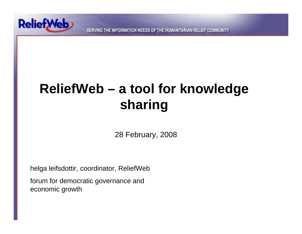

## **ReliefWeb – a tool for knowledge sharing**

28 February, 2008

helga leifsdottir, coordinator, ReliefWeb

forum for democratic governance and economic growth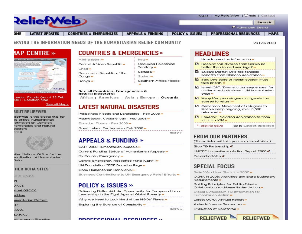

Iraq »

Territory »

Somalia »

Sudan »

Occupied Palestinian

Southern Africa Floods

more »

ERVING THE INFORMATION NEEDS OF THE HUMANITARIAN RELIEF COMMUNITY

### **IAP CENTRE**  $\ast$



uador: Floods (as of 22 Feb 008) - Location Map See all Maps

#### **BOUT RELIEFWEB**

eliefWeb is the global hub for ne-critical humanitarian formation on Complex nergencies and Natural sasters ore »



ited Nations Office for the oordination of Humanitarian ffairs.

#### **THER OCHA SITES**

**CHA Online** 

M DACS

irtual OSOCC

<u>edHum</u>

<u>ımanitarian Reform</u>

or Amonou Standing

ERF<sub>.</sub>

**JDAC** 

**SARAG** 

## **COUNTRIES & EMERGENCIES »**

Afghanistan » Central African Republic »

Chad » Democratic Republic of the Congo >>

Kenya »

See all Countries, Emergencies & **Natural Disasters:** 

Africa | Americas | Asia | Europe | Oceania

### **LATEST NATURAL DISASTERS**

Philippines: Floods and Landslides - Feb 2008»

Madagascar: Cyclone Ivan - Feb 2008»

Ecuador: Floods - Feb 2008 »

Great Lakes: Earthquake - Feb 2008»

### **APPEALS & FUNDING »**

CAP: 2008 Humanitarian Appeals » Current Funding Status of Humanitarian Appeals » By Country/Emergency» Central Emergency Response Fund (CERF) >> UN Foundation CERF Donation Page » Good Humanitarian Donorship >> Business Contributions to UN Emergency Relief Efforts »

### **POLICY & ISSUES »**

Delivering Better Aid: An Opportunity for European Union-Leadership in the Fight Against Global Poverty » Why we Need to Look Hard at the NGOs' Flaws » Exploring the Science of Complexity »  $more <sub>></sub>$ 

**DOOFFOOIOUAL DECOUDOFC...** 

## **HEADLINES**

How to send us information »

B Kosovo: Will divorce from Serbia be better than forced marriage?»

26 Feb 2008

- Sudan: Darfuri IDPs feel tangible benefits from Chinese assistance »
- **E** Iraq: Dire state of health system must take priority »
- B Israel-OPT: 'Dramatic consequences' for civilians on both sides - UN humanitarian chief »
- Many Kenyan refugees in Uganda too scared to return »
- Cameroon: Movement of refugees to Maltam camp ongoing, over 5,500 relocated »
- **B** Ecuador: Providing assistance to flood victims - IOM »

<sup>t\_</sup>click to save go to Latest Updates

#### **FROM OUR PARTNERS** (These links will take you to external sites.)

Stop TB Partnership at

UNICEF Humanitarian Action Report 2008 PreventionWeb<sup>®</sup>

### SPECIAL FOCUS

ReliefWeb User Statistics 2007 »

OCHA in 2008: Activities and Extra-budgetary Requirements »

Guiding Principles for Public-Private Collaboration for Humanitarian Action »

Global Symposium +5: Information for Humanitarian Action »

Latest OCHA Annual Report >>

Avian Influenza Resources »

Evaluation of ReliefWeb »

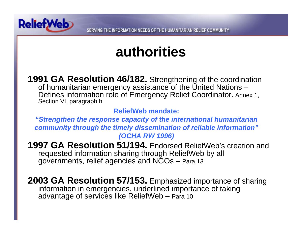

## **authorities**

**1991 GA Resolution 46/182.** Strengthening of the coordination of humanitarian emergency assistance of the United Nations – Defines information role of Emergency Relief Coordinator. <sub>Annex 1,</sub><br>Section VI, paragraph h

**ReliefWeb mandate:** 

*"Strengthen the response capacity of the international humanitarian community through the timely dissemination of reliable information" (OCHA RW 1996)* 

**1997 GA Resolution 51/194.** Endorsed ReliefWeb's creation and requested information sharing through ReliefWeb by all governments, relief agencies and NGOs – Para 13

**2003 GA Resolution 57/153.** Emphasized importance of sharing information in emergencies, underlined importance of taking advantage of services like ReliefWeb – Para 10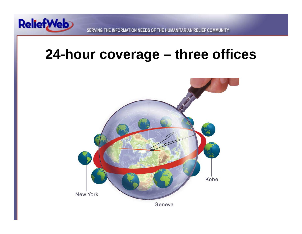

## **24-hour coverage – three offices**

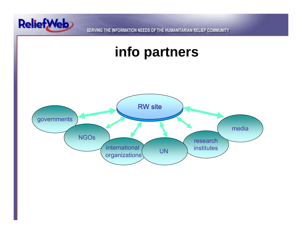

## **info partners**

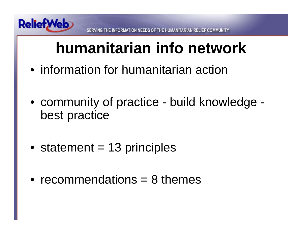

# **humanitarian info network**

- information for humanitarian action
- community of practice build knowledge best practice
- statement = 13 principles
- recommendations  $= 8$  themes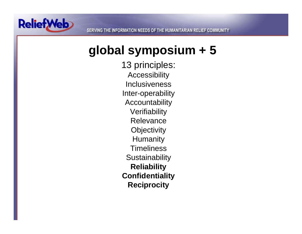

## **global symposium + 5**

13 principles: Accessibility **Inclusiveness** Inter-operability Accountability **Verifiability** Relevance **Objectivity Humanity Timeliness Sustainability Reliability Confidentiality Reciprocity**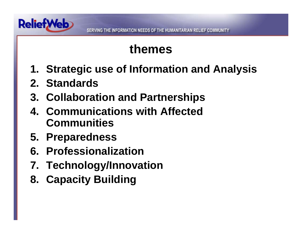

## **themes**

- **1. Strategic use of Information and Analysis**
- **2. Standards**
- **3. Collaboration and Partnerships**
- **4. Communications with Affected Communities**
- **5. Preparedness**
- **6. Professionalization**
- **7. Technology/Innovation**
- **8. Capacity Building**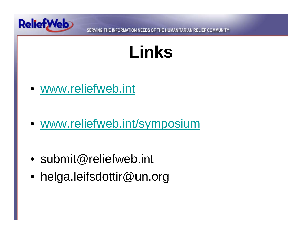



- www.reliefweb.int
- www.reliefweb.int/symposium
- submit@reliefweb.int
- helga.leifsdottir@un.org